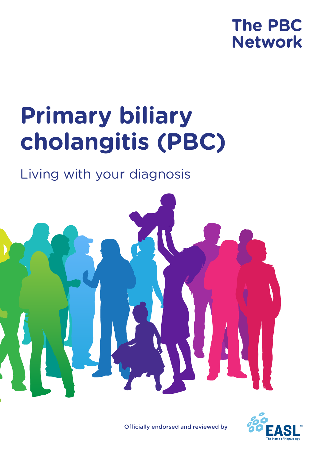# **The PBC Network**

# **Primary biliary cholangitis (PBC)**

# Living with your diagnosis



Officially endorsed and reviewed by

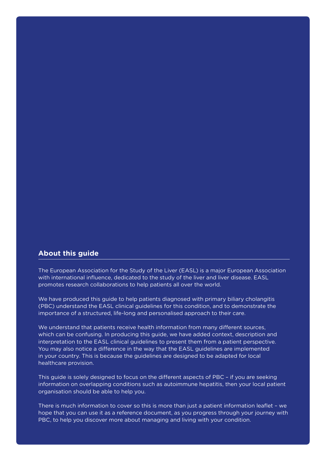#### **About this guide**

The European Association for the Study of the Liver (EASL) is a major European Association with international influence, dedicated to the study of the liver and liver disease. EASL promotes research collaborations to help patients all over the world.

We have produced this guide to help patients diagnosed with primary biliary cholangitis (PBC) understand the EASL clinical guidelines for this condition, and to demonstrate the importance of a structured, life-long and personalised approach to their care.

We understand that patients receive health information from many different sources, which can be confusing. In producing this guide, we have added context, description and interpretation to the EASL clinical guidelines to present them from a patient perspective. You may also notice a difference in the way that the EASL guidelines are implemented in your country. This is because the guidelines are designed to be adapted for local healthcare provision.

This guide is solely designed to focus on the different aspects of PBC – if you are seeking information on overlapping conditions such as autoimmune hepatitis, then your local patient organisation should be able to help you.

There is much information to cover so this is more than just a patient information leaflet – we hope that you can use it as a reference document, as you progress through your journey with PBC, to help you discover more about managing and living with your condition.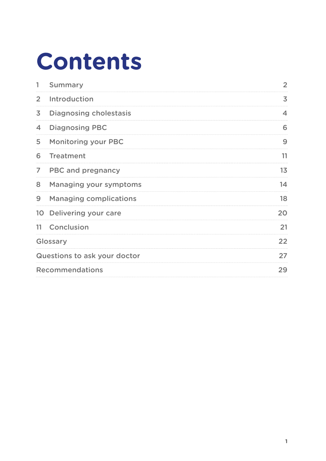# **Contents**

| 1              | <b>Summary</b>                | 2  |  |
|----------------|-------------------------------|----|--|
| $\overline{2}$ | Introduction                  | 3  |  |
| 3              | <b>Diagnosing cholestasis</b> | 4  |  |
| 4              | <b>Diagnosing PBC</b>         | 6  |  |
| 5              | <b>Monitoring your PBC</b>    | 9  |  |
| 6              | <b>Treatment</b>              | 11 |  |
| $\overline{7}$ | <b>PBC and pregnancy</b>      | 13 |  |
| 8              | <b>Managing your symptoms</b> | 14 |  |
| 9              | <b>Managing complications</b> | 18 |  |
|                | 10 Delivering your care       | 20 |  |
|                | 11 Conclusion                 | 21 |  |
|                | Glossary                      | 22 |  |
|                | Questions to ask your doctor  | 27 |  |
|                | <b>Recommendations</b>        |    |  |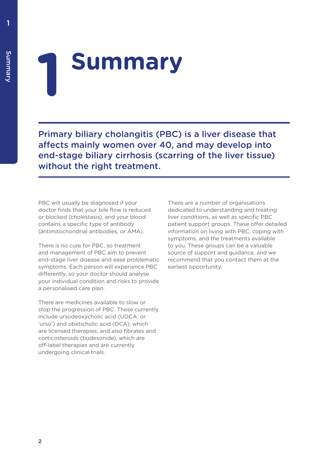# **1 Summary**

Primary biliary cholangitis (PBC) is a liver disease that affects mainly women over 40, and may develop into end-stage biliary cirrhosis (scarring of the liver tissue) without the right treatment.

PBC will usually be diagnosed if your doctor finds that your bile flow is reduced or blocked (cholestasis), and your blood contains a specific type of antibody (antimitochondrial antibodies, or AMA).

There is no cure for PBC, so treatment and management of PBC aim to prevent end-stage liver disease and ease problematic symptoms. Each person will experience PBC differently, so your doctor should analyse your individual condition and risks to provide a personalised care plan.

There are medicines available to slow or stop the progression of PBC. These currently include ursodeoxycholic acid (UDCA, or 'urso') and obeticholic acid (OCA), which are licensed therapies, and also fibrates and corticosteroids (budesonide), which are off-label therapies and are currently undergoing clinical trials.

There are a number of organisations dedicated to understanding and treating liver conditions, as well as specific PBC patient support groups. These offer detailed information on living with PBC, coping with symptoms, and the treatments available to you. These groups can be a valuable source of support and guidance, and we recommend that you contact them at the earliest opportunity.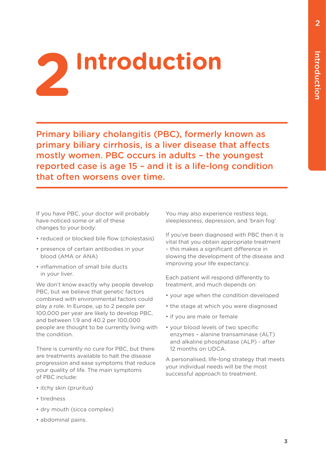

Primary biliary cholangitis (PBC), formerly known as primary biliary cirrhosis, is a liver disease that affects mostly women. PBC occurs in adults – the youngest reported case is age 15 – and it is a life-long condition that often worsens over time.

If you have PBC, your doctor will probably have noticed some or all of these changes to your body:

- reduced or blocked bile flow (cholestasis)
- presence of certain antibodies in your blood (AMA or ANA)
- inflammation of small bile ducts in your liver.

We don't know exactly why people develop PBC, but we believe that genetic factors combined with environmental factors could play a role. In Europe, up to 2 people per 100,000 per year are likely to develop PBC, and between 1.9 and 40.2 per 100,000 people are thought to be currently living with the condition.

There is currently no cure for PBC, but there are treatments available to halt the disease progression and ease symptoms that reduce your quality of life. The main symptoms of PBC include:

- itchy skin (pruritus)
- tiredness
- dry mouth (sicca complex)
- abdominal pains.

You may also experience restless legs. sleeplessness, depression, and 'brain fog'.

If you've been diagnosed with PBC then it is vital that you obtain appropriate treatment – this makes a significant difference in slowing the development of the disease and improving your life expectancy.

Each patient will respond differently to treatment, and much depends on:

- your age when the condition developed
- the stage at which you were diagnosed
- if you are male or female
- your blood levels of two specific enzymes – alanine transaminase (ALT) and alkaline phosphatase (ALP) - after 12 months on UDCA.

A personalised, life-long strategy that meets your individual needs will be the most successful approach to treatment.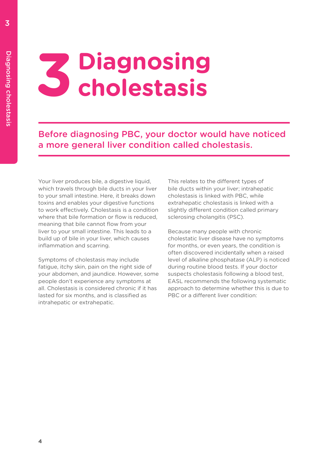# Diagnosing cholestasis Diagnosing cholestasis

# **3 Diagnosing cholestasis**

Before diagnosing PBC, your doctor would have noticed a more general liver condition called cholestasis.

Your liver produces bile, a digestive liquid, which travels through bile ducts in your liver to your small intestine. Here, it breaks down toxins and enables your digestive functions to work effectively. Cholestasis is a condition where that bile formation or flow is reduced, meaning that bile cannot flow from your liver to your small intestine. This leads to a build up of bile in your liver, which causes inflammation and scarring.

Symptoms of cholestasis may include fatigue, itchy skin, pain on the right side of your abdomen, and jaundice. However, some people don't experience any symptoms at all. Cholestasis is considered chronic if it has lasted for six months, and is classified as intrahepatic or extrahepatic.

This relates to the different types of bile ducts within your liver; intrahepatic cholestasis is linked with PBC, while extrahepatic cholestasis is linked with a slightly different condition called primary sclerosing cholangitis (PSC).

Because many people with chronic cholestatic liver disease have no symptoms for months, or even years, the condition is often discovered incidentally when a raised level of alkaline phosphatase (ALP) is noticed during routine blood tests. If your doctor suspects cholestasis following a blood test, EASL recommends the following systematic approach to determine whether this is due to PBC or a different liver condition: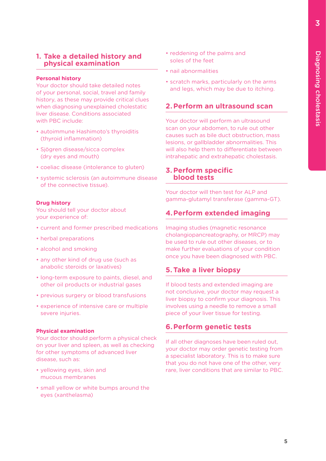#### **1. Take a detailed history and physical examination**

#### **Personal history**

Your doctor should take detailed notes of your personal, social, travel and family history, as these may provide critical clues when diagnosing unexplained cholestatic liver disease. Conditions associated with PBC include:

- autoimmune Hashimoto's thyroiditis (thyroid inflammation)
- Sjögren disease/sicca complex (dry eyes and mouth)
- coeliac disease (intolerance to gluten)
- systemic sclerosis (an autoimmune disease of the connective tissue).

#### **Drug history**

You should tell your doctor about your experience of:

- current and former prescribed medications
- herbal preparations
- alcohol and smoking
- any other kind of drug use (such as anabolic steroids or laxatives)
- long-term exposure to paints, diesel, and other oil products or industrial gases
- previous surgery or blood transfusions
- experience of intensive care or multiple severe injuries.

#### **Physical examination**

Your doctor should perform a physical check on your liver and spleen, as well as checking for other symptoms of advanced liver disease, such as:

- yellowing eyes, skin and mucous membranes
- small yellow or white bumps around the eyes (xanthelasma)
- reddening of the palms and soles of the feet
- nail abnormalities
- scratch marks, particularly on the arms and legs, which may be due to itching.

### **2.Perform an ultrasound scan**

Your doctor will perform an ultrasound scan on your abdomen, to rule out other causes such as bile duct obstruction, mass lesions, or gallbladder abnormalities. This will also help them to differentiate between intrahepatic and extrahepatic cholestasis.

#### **3.Perform specific blood tests**

Your doctor will then test for ALP and gamma-glutamyl transferase (gamma-GT).

### **4.Perform extended imaging**

Imaging studies (magnetic resonance cholangiopancreatography, or MRCP) may be used to rule out other diseases, or to make further evaluations of your condition once you have been diagnosed with PBC.

#### **5.Take a liver biopsy**

If blood tests and extended imaging are not conclusive, your doctor may request a liver biopsy to confirm your diagnosis. This involves using a needle to remove a small piece of your liver tissue for testing.

### **6.Perform genetic tests**

If all other diagnoses have been ruled out, your doctor may order genetic testing from a specialist laboratory. This is to make sure that you do not have one of the other, very rare, liver conditions that are similar to PBC.

3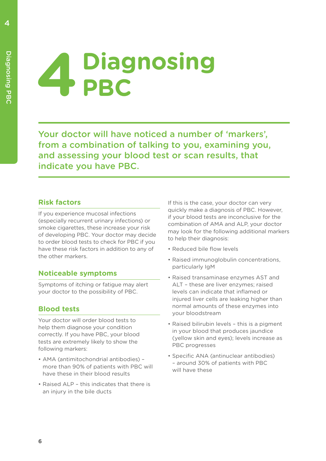# **4 Diagnosing PBC**

Your doctor will have noticed a number of 'markers', from a combination of talking to you, examining you, and assessing your blood test or scan results, that indicate you have PBC.

# **Risk factors**

If you experience mucosal infections (especially recurrent urinary infections) or smoke cigarettes, these increase your risk of developing PBC. Your doctor may decide to order blood tests to check for PBC if you have these risk factors in addition to any of the other markers.

# **Noticeable symptoms**

Symptoms of itching or fatigue may alert your doctor to the possibility of PBC.

# **Blood tests**

Your doctor will order blood tests to help them diagnose your condition correctly. If you have PBC, your blood tests are extremely likely to show the following markers:

- AMA (antimitochondrial antibodies) more than 90% of patients with PBC will have these in their blood results
- Raised ALP this indicates that there is an injury in the bile ducts

If this is the case, your doctor can very quickly make a diagnosis of PBC. However, if your blood tests are inconclusive for the combination of AMA and ALP, your doctor may look for the following additional markers to help their diagnosis:

- Reduced bile flow levels
- Raised immunoglobulin concentrations, particularly IgM
- Raised transaminase enzymes AST and ALT – these are liver enzymes; raised levels can indicate that inflamed or injured liver cells are leaking higher than normal amounts of these enzymes into your bloodstream
- Raised bilirubin levels this is a pigment in your blood that produces jaundice (yellow skin and eyes); levels increase as PBC progresses
- Specific ANA (antinuclear antibodies) – around 30% of patients with PBC will have these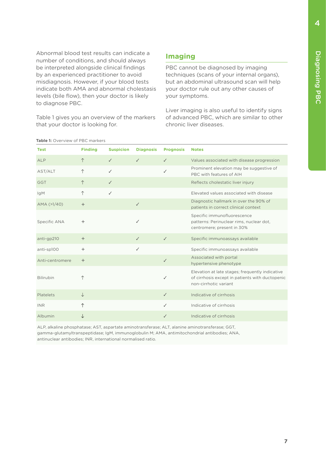Abnormal blood test results can indicate a number of conditions, and should always be interpreted alongside clinical findings by an experienced practitioner to avoid misdiagnosis. However, if your blood tests indicate both AMA and abnormal cholestasis levels (bile flow), then your doctor is likely to diagnose PBC.

Table 1 gives you an overview of the markers that your doctor is looking for.

# **Imaging**

PBC cannot be diagnosed by imaging techniques (scans of your internal organs), but an abdominal ultrasound scan will help your doctor rule out any other causes of your symptoms.

Liver imaging is also useful to identify signs of advanced PBC, which are similar to other chronic liver diseases.

| Table 1: Overview of PBC markers |                |                  |                  |                  |                                                                                                                             |
|----------------------------------|----------------|------------------|------------------|------------------|-----------------------------------------------------------------------------------------------------------------------------|
| <b>Test</b>                      | <b>Finding</b> | <b>Suspicion</b> | <b>Diagnosis</b> | <b>Prognosis</b> | <b>Notes</b>                                                                                                                |
| <b>ALP</b>                       | ↑              | ✓                | $\checkmark$     | $\checkmark$     | Values associated with disease progression                                                                                  |
| AST/ALT                          | ↑              | ✓                |                  | $\checkmark$     | Prominent elevation may be suggestive of<br>PBC with features of AIH                                                        |
| <b>GGT</b>                       | ↑              | $\checkmark$     |                  |                  | Reflects cholestatic liver injury                                                                                           |
| IgM                              | $\uparrow$     | ✓                |                  |                  | Elevated values associated with disease                                                                                     |
| AMA (>1/40)                      | $+$            |                  | $\checkmark$     |                  | Diagnostic hallmark in over the 90% of<br>patients in correct clinical context                                              |
| Specific ANA                     | $^{+}$         |                  | ✓                |                  | Specific immunofluorescence<br>patterns: Perinuclear rims, nuclear dot,<br>centromere; present in 30%                       |
| anti-gp210                       | $+$            |                  | $\checkmark$     | $\checkmark$     | Specific immunoassays available                                                                                             |
| anti-sp100                       | $+$            |                  | ✓                |                  | Specific immunoassays available                                                                                             |
| Anti-centromere                  | $+$            |                  |                  | $\checkmark$     | Associated with portal<br>hypertensive phenotype                                                                            |
| <b>Bilirubin</b>                 | ↑              |                  |                  | $\checkmark$     | Elevation at late stages; frequently indicative<br>of cirrhosis except in patients with ductopenic<br>non-cirrhotic variant |
| Platelets                        | $\downarrow$   |                  |                  | $\checkmark$     | Indicative of cirrhosis                                                                                                     |
| <b>INR</b>                       | $\uparrow$     |                  |                  | ✓                | Indicative of cirrhosis                                                                                                     |
| Albumin                          | ↓              |                  |                  | ✓                | Indicative of cirrhosis                                                                                                     |

ALP, alkaline phosphatase; AST, aspartate aminotransferase; ALT, alanine aminotransferase; GGT, gamma-glutamyltranspeptidase; IgM, immunoglobulin M; AMA, antimitochondrial antibodies; ANA, antinuclear antibodies; INR, international normalised ratio.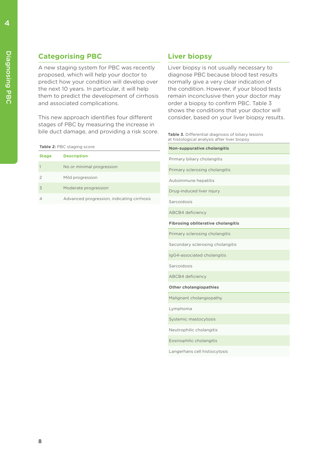# **Categorising PBC**

A new staging system for PBC was recently proposed, which will help your doctor to predict how your condition will develop over the next 10 years. In particular, it will help them to predict the development of cirrhosis and associated complications.

This new approach identifies four different stages of PBC by measuring the increase in bile duct damage, and providing a risk score.

|  |  |  | Table 2: PBC staging score |  |
|--|--|--|----------------------------|--|
|--|--|--|----------------------------|--|

| <b>Stage</b> | <b>Description</b>                         |
|--------------|--------------------------------------------|
|              | No or minimal progression                  |
|              | Mild progression                           |
| 3            | Moderate progression                       |
|              | Advanced progression, indicating cirrhosis |

# **Liver biopsy**

Liver biopsy is not usually necessary to diagnose PBC because blood test results normally give a very clear indication of the condition. However, if your blood tests remain inconclusive then your doctor may order a biopsy to confirm PBC. Table 3 shows the conditions that your doctor will consider, based on your liver biopsy results.

| <b>Table 3.</b> Differential diagnosis of biliary lesions |  |  |
|-----------------------------------------------------------|--|--|
| at histological analysis after liver biopsy               |  |  |

| <b>Non-suppurative cholangitis</b>        |  |
|-------------------------------------------|--|
| Primary biliary cholangitis               |  |
| Primary sclerosing cholangitis            |  |
| Autoimmune hepatitis                      |  |
| Drug-induced liver injury                 |  |
| Sarcoidosis                               |  |
| <b>ABCB4</b> deficiency                   |  |
| <b>Fibrosing obliterative cholangitis</b> |  |
| Primary sclerosing cholangitis            |  |
| Secondary sclerosing cholangitis          |  |
| IgG4-associated cholangitis               |  |
| Sarcoidosis                               |  |
| <b>ABCB4</b> deficiency                   |  |
| <b>Other cholangiopathies</b>             |  |
| Malignant cholangiopathy                  |  |
| Lymphoma                                  |  |
| Systemic mastocytosis                     |  |
| Neutrophilic cholangitis                  |  |
| Eosinophilic cholangitis                  |  |
| Langerhans cell histiocytosis             |  |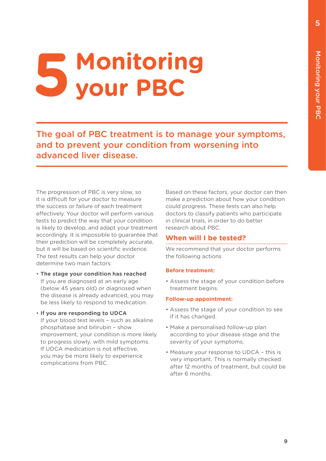# **5 Monitoring your PBC**

The goal of PBC treatment is to manage your symptoms, and to prevent your condition from worsening into advanced liver disease.

The progression of PBC is very slow, so it is difficult for your doctor to measure the success or failure of each treatment effectively. Your doctor will perform various tests to predict the way that your condition is likely to develop, and adapt your treatment accordingly. It is impossible to guarantee that their prediction will be completely accurate, but it will be based on scientific evidence. The test results can help your doctor determine two main factors:

- **The stage your condition has reached** If you are diagnosed at an early age (below 45 years old) or diagnosed when the disease is already advanced, you may be less likely to respond to medication.
- **If you are responding to UDCA** If your blood test levels – such as alkaline phosphatase and bilirubin – show improvement, your condition is more likely to progress slowly, with mild symptoms. If UDCA medication is not effective, you may be more likely to experience complications from PBC.

Based on these factors, your doctor can then make a prediction about how your condition could progress. These tests can also help doctors to classify patients who participate in clinical trials, in order to do better research about PBC.

# **When will I be tested?**

We recommend that your doctor performs the following actions

#### **Before treatment:**

• Assess the stage of your condition before treatment begins.

#### **Follow-up appointment:**

- Assess the stage of your condition to see if it has changed.
- Make a personalised follow-up plan according to your disease stage and the severity of your symptoms.
- Measure your response to UDCA this is very important. This is normally checked after 12 months of treatment, but could be after 6 months.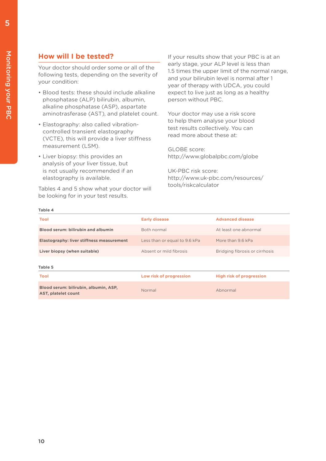# **How will I be tested?**

Your doctor should order some or all of the following tests, depending on the severity of your condition:

- Blood tests: these should include alkaline phosphatase (ALP) bilirubin, albumin, alkaline phosphatase (ASP), aspartate aminotrasferase (AST), and platelet count.
- Elastography: also called vibrationcontrolled transient elastography (VCTE), this will provide a liver stiffness measurement (LSM).
- Liver biopsy: this provides an analysis of your liver tissue, but is not usually recommended if an elastography is available.

Tables 4 and 5 show what your doctor will be looking for in your test results.

If your results show that your PBC is at an early stage, your ALP level is less than 1.5 times the upper limit of the normal range, and your bilirubin level is normal after 1 year of therapy with UDCA, you could expect to live just as long as a healthy person without PBC.

Your doctor may use a risk score to help them analyse your blood test results collectively. You can read more about these at:

GLOBE score: http://www.globalpbc.com/globe

UK-PBC risk score: http://www.uk-pbc.com/resources/ tools/riskcalculator

#### **Table 4**

| <b>Tool</b>                                                         | <b>Early disease</b>          | <b>Advanced disease</b>         |
|---------------------------------------------------------------------|-------------------------------|---------------------------------|
| <b>Blood serum: bilirubin and albumin</b>                           | Both normal                   | At least one abnormal           |
| <b>Elastography: liver stiffness measurement</b>                    | Less than or equal to 9.6 kPa | More than 9.6 kPa               |
| Liver biopsy (when suitable)                                        | Absent or mild fibrosis       | Bridging fibrosis or cirrhosis  |
| Table 5                                                             |                               |                                 |
| <b>Tool</b>                                                         | Low risk of progression       | <b>High risk of progression</b> |
| Blood serum: bilirubin, albumin, ASP,<br><b>AST, platelet count</b> | Normal                        | Abnormal                        |

5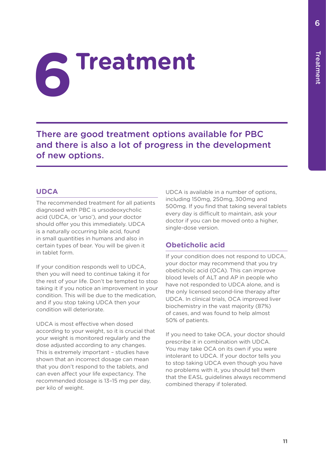# **6Treatment**

There are good treatment options available for PBC and there is also a lot of progress in the development of new options.

# **UDCA**

The recommended treatment for all patients diagnosed with PBC is ursodeoxycholic acid (UDCA, or 'urso'), and your doctor should offer you this immediately. UDCA is a naturally occurring bile acid, found in small quantities in humans and also in certain types of bear. You will be given it in tablet form.

If your condition responds well to UDCA, then you will need to continue taking it for the rest of your life. Don't be tempted to stop taking it if you notice an improvement in your condition. This will be due to the medication, and if you stop taking UDCA then your condition will deteriorate.

UDCA is most effective when dosed according to your weight, so it is crucial that your weight is monitored regularly and the dose adjusted according to any changes. This is extremely important – studies have shown that an incorrect dosage can mean that you don't respond to the tablets, and can even affect your life expectancy. The recommended dosage is 13–15 mg per day, per kilo of weight.

UDCA is available in a number of options, including 150mg, 250mg, 300mg and 500mg. If you find that taking several tablets every day is difficult to maintain, ask your doctor if you can be moved onto a higher, single-dose version.

# **Obeticholic acid**

If your condition does not respond to UDCA, your doctor may recommend that you try obeticholic acid (OCA). This can improve blood levels of ALT and AP in people who have not responded to UDCA alone, and is the only licensed second-line therapy after UDCA. In clinical trials, OCA improved liver biochemistry in the vast majority (87%) of cases, and was found to help almost 50% of patients.

If you need to take OCA, your doctor should prescribe it in combination with UDCA. You may take OCA on its own if you were intolerant to UDCA. If your doctor tells you to stop taking UDCA even though you have no problems with it, you should tell them that the EASL guidelines always recommend combined therapy if tolerated.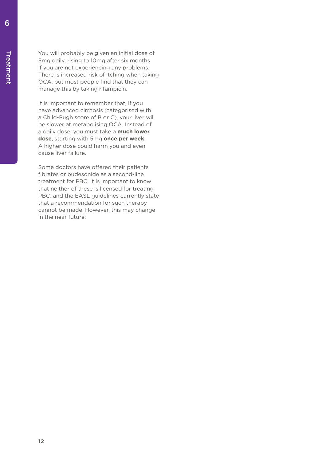You will probably be given an initial dose of 5mg daily, rising to 10mg after six months if you are not experiencing any problems. There is increased risk of itching when taking OCA, but most people find that they can manage this by taking rifampicin.

It is important to remember that, if you have advanced cirrhosis (categorised with a Child-Pugh score of B or C), your liver will be slower at metabolising OCA. Instead of a daily dose, you must take a **much lower dose**, starting with 5mg **once per week**. A higher dose could harm you and even cause liver failure.

Some doctors have offered their patients fibrates or budesonide as a second-line treatment for PBC. It is important to know that neither of these is licensed for treating PBC, and the EASL guidelines currently state that a recommendation for such therapy cannot be made. However, this may change in the near future.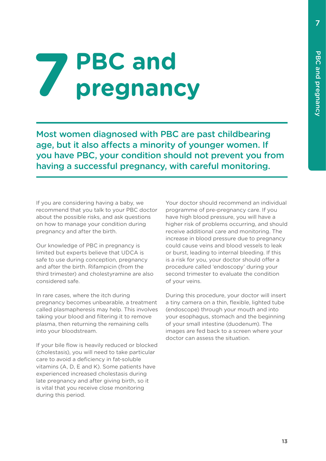# **7 PBC and pregnancy**

Most women diagnosed with PBC are past childbearing age, but it also affects a minority of younger women. If you have PBC, your condition should not prevent you from having a successful pregnancy, with careful monitoring.

If you are considering having a baby, we recommend that you talk to your PBC doctor about the possible risks, and ask questions on how to manage your condition during pregnancy and after the birth.

Our knowledge of PBC in pregnancy is limited but experts believe that UDCA is safe to use during conception, pregnancy and after the birth. Rifampicin (from the third trimester) and cholestyramine are also considered safe.

In rare cases, where the itch during pregnancy becomes unbearable, a treatment called plasmapheresis may help. This involves taking your blood and filtering it to remove plasma, then returning the remaining cells into your bloodstream.

If your bile flow is heavily reduced or blocked (cholestasis), you will need to take particular care to avoid a deficiency in fat-soluble vitamins (A, D, E and K). Some patients have experienced increased cholestasis during late pregnancy and after giving birth, so it is vital that you receive close monitoring during this period.

Your doctor should recommend an individual programme of pre-pregnancy care. If you have high blood pressure, you will have a higher risk of problems occurring, and should receive additional care and monitoring. The increase in blood pressure due to pregnancy could cause veins and blood vessels to leak or burst, leading to internal bleeding. If this is a risk for you, your doctor should offer a procedure called 'endoscopy' during your second trimester to evaluate the condition of your veins.

During this procedure, your doctor will insert a tiny camera on a thin, flexible, lighted tube (endoscope) through your mouth and into your esophagus, stomach and the beginning of your small intestine (duodenum). The images are fed back to a screen where your doctor can assess the situation.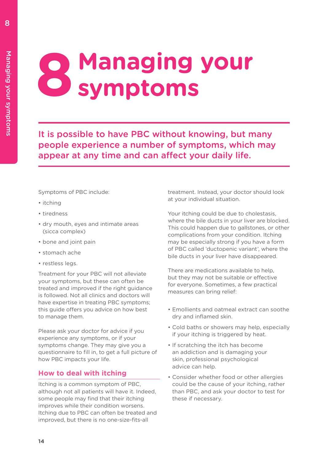# **8 Managing your symptoms**

It is possible to have PBC without knowing, but many people experience a number of symptoms, which may appear at any time and can affect your daily life.

Symptoms of PBC include:

- itching
- tiredness
- dry mouth, eyes and intimate areas (sicca complex)
- bone and joint pain
- stomach ache
- restless legs.

Treatment for your PBC will not alleviate your symptoms, but these can often be treated and improved if the right guidance is followed. Not all clinics and doctors will have expertise in treating PBC symptoms; this guide offers you advice on how best to manage them.

Please ask your doctor for advice if you experience any symptoms, or if your symptoms change. They may give you a questionnaire to fill in, to get a full picture of how PBC impacts your life.

# **How to deal with itching**

Itching is a common symptom of PBC, although not all patients will have it. Indeed, some people may find that their itching improves while their condition worsens. Itching due to PBC can often be treated and improved, but there is no one-size-fits-all

treatment. Instead, your doctor should look at your individual situation.

Your itching could be due to cholestasis, where the bile ducts in your liver are blocked. This could happen due to gallstones, or other complications from your condition. Itching may be especially strong if you have a form of PBC called 'ductopenic variant', where the bile ducts in your liver have disappeared.

There are medications available to help, but they may not be suitable or effective for everyone. Sometimes, a few practical measures can bring relief:

- Emollients and oatmeal extract can soothe dry and inflamed skin.
- Cold baths or showers may help, especially if your itching is triggered by heat.
- If scratching the itch has become an addiction and is damaging your skin, professional psychological advice can help.
- Consider whether food or other allergies could be the cause of your itching, rather than PBC, and ask your doctor to test for these if necessary.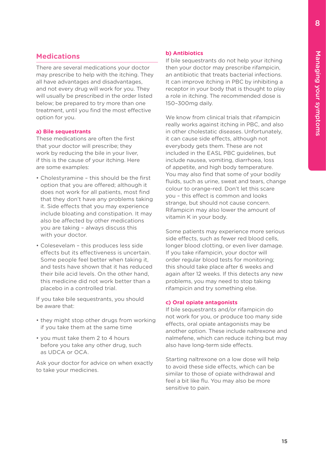# **Medications**

There are several medications your doctor may prescribe to help with the itching. They all have advantages and disadvantages, and not every drug will work for you. They will usually be prescribed in the order listed below; be prepared to try more than one treatment, until you find the most effective option for you.

#### **a) Bile sequestrants**

These medications are often the first that your doctor will prescribe; they work by reducing the bile in your liver, if this is the cause of your itching. Here are some examples:

- Cholestyramine this should be the first option that you are offered; although it does not work for all patients, most find that they don't have any problems taking it. Side effects that you may experience include bloating and constipation. It may also be affected by other medications you are taking – always discuss this with your doctor.
- Colesevelam this produces less side effects but its effectiveness is uncertain. Some people feel better when taking it, and tests have shown that it has reduced their bile acid levels. On the other hand, this medicine did not work better than a placebo in a controlled trial.

If you take bile sequestrants, you should be aware that:

- they might stop other drugs from working if you take them at the same time
- you must take them 2 to 4 hours before you take any other drug, such as UDCA or OCA.

Ask your doctor for advice on when exactly to take your medicines.

#### **b) Antibiotics**

If bile sequestrants do not help your itching then your doctor may prescribe rifampicin, an antibiotic that treats bacterial infections. It can improve itching in PBC by inhibiting a receptor in your body that is thought to play a role in itching. The recommended dose is 150–300mg daily.

We know from clinical trials that rifampicin really works against itching in PBC, and also in other cholestatic diseases. Unfortunately, it can cause side effects, although not everybody gets them. These are not included in the EASL PBC guidelines, but include nausea, vomiting, diarrhoea, loss of appetite, and high body temperature. You may also find that some of your bodily fluids, such as urine, sweat and tears, change colour to orange-red. Don't let this scare you – this effect is common and looks strange, but should not cause concern. Rifampicin may also lower the amount of vitamin K in your body.

Some patients may experience more serious side effects, such as fewer red blood cells, longer blood clotting, or even liver damage. If you take rifampicin, your doctor will order regular blood tests for monitoring; this should take place after 6 weeks and again after 12 weeks. If this detects any new problems, you may need to stop taking rifampicin and try something else.

#### **c) Oral opiate antagonists**

If bile sequestrants and/or rifampicin do not work for you, or produce too many side effects, oral opiate antagonists may be another option. These include naltrexone and nalmefene, which can reduce itching but may also have long-term side effects.

Starting naltrexone on a low dose will help to avoid these side effects, which can be similar to those of opiate withdrawal and feel a bit like flu. You may also be more sensitive to pain.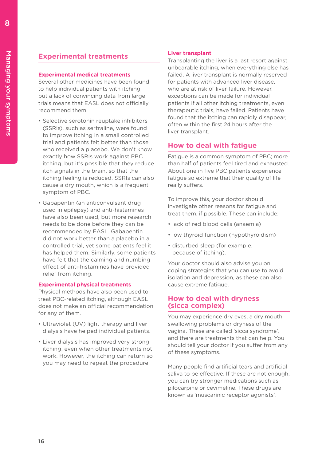# **Experimental treatments**

#### **Experimental medical treatments**

Several other medicines have been found to help individual patients with itching, but a lack of convincing data from large trials means that EASL does not officially recommend them.

- Selective serotonin reuptake inhibitors (SSRIs), such as sertraline, were found to improve itching in a small controlled trial and patients felt better than those who received a placebo. We don't know exactly how SSRIs work against PBC itching, but it's possible that they reduce itch signals in the brain, so that the itching feeling is reduced. SSRIs can also cause a dry mouth, which is a frequent symptom of PBC.
- Gabapentin (an anticonvulsant drug used in epilepsy) and anti-histamines have also been used, but more research needs to be done before they can be recommended by EASL. Gabapentin did not work better than a placebo in a controlled trial, yet some patients feel it has helped them. Similarly, some patients have felt that the calming and numbing effect of anti-histamines have provided relief from itching.

#### **Experimental physical treatments**

Physical methods have also been used to treat PBC-related itching, although EASL does not make an official recommendation for any of them.

- Ultraviolet (UV) light therapy and liver dialysis have helped individual patients.
- Liver dialysis has improved very strong itching, even when other treatments not work. However, the itching can return so you may need to repeat the procedure.

#### **Liver transplant**

Transplanting the liver is a last resort against unbearable itching, when everything else has failed. A liver transplant is normally reserved for patients with advanced liver disease, who are at risk of liver failure. However, exceptions can be made for individual patients if all other itching treatments, even therapeutic trials, have failed. Patients have found that the itching can rapidly disappear, often within the first 24 hours after the liver transplant.

### **How to deal with fatigue**

Fatigue is a common symptom of PBC; more than half of patients feel tired and exhausted. About one in five PBC patients experience fatigue so extreme that their quality of life really suffers.

To improve this, your doctor should investigate other reasons for fatigue and treat them, if possible. These can include:

- lack of red blood cells (anaemia)
- low thyroid function (hypothyroidism)
- disturbed sleep (for example, because of itching).

Your doctor should also advise you on coping strategies that you can use to avoid isolation and depression, as these can also cause extreme fatigue.

#### **How to deal with dryness (sicca complex)**

You may experience dry eyes, a dry mouth, swallowing problems or dryness of the vagina. These are called 'sicca syndrome', and there are treatments that can help. You should tell your doctor if you suffer from any of these symptoms.

Many people find artificial tears and artificial saliva to be effective. If these are not enough, you can try stronger medications such as pilocarpine or cevimeline. These drugs are known as 'muscarinic receptor agonists'.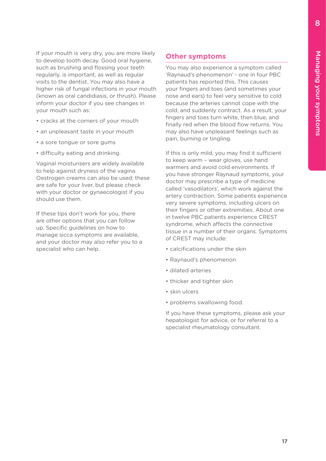If your mouth is very dry, you are more likely to develop tooth decay. Good oral hygiene, such as brushing and flossing your teeth regularly, is important, as well as regular visits to the dentist. You may also have a higher risk of fungal infections in your mouth (known as oral candidiasis, or thrush). Please inform your doctor if you see changes in your mouth such as:

- cracks at the corners of your mouth
- an unpleasant taste in your mouth
- a sore tongue or sore gums
- difficulty eating and drinking.

Vaginal moisturisers are widely available to help against dryness of the vagina. Oestrogen creams can also be used; these are safe for your liver, but please check with your doctor or gynaecologist if you should use them.

If these tips don't work for you, there are other options that you can follow up. Specific guidelines on how to manage sicca symptoms are available, and your doctor may also refer you to a specialist who can help.

### **Other symptoms**

You may also experience a symptom called 'Raynaud's phenomenon' - one in four PBC patients has reported this. This causes your fingers and toes (and sometimes your nose and ears) to feel very sensitive to cold because the arteries cannot cope with the cold, and suddenly contract. As a result, your fingers and toes turn white, then blue, and finally red when the blood flow returns. You may also have unpleasant feelings such as pain, burning or tingling.

If this is only mild, you may find it sufficient to keep warm – wear gloves, use hand warmers and avoid cold environments. If you have stronger Raynaud symptoms, your doctor may prescribe a type of medicine called 'vasodilators', which work against the artery contraction. Some patients experience very severe symptoms, including ulcers on their fingers or other extremities. About one in twelve PBC patients experience CREST syndrome, which affects the connective tissue in a number of their organs. Symptoms of CREST may include:

- calcifications under the skin
- Raynaud's phenomenon
- dilated arteries
- thicker and tighter skin
- skin ulcers
- problems swallowing food.

If you have these symptoms, please ask your hepatologist for advice, or for referral to a specialist rheumatology consultant.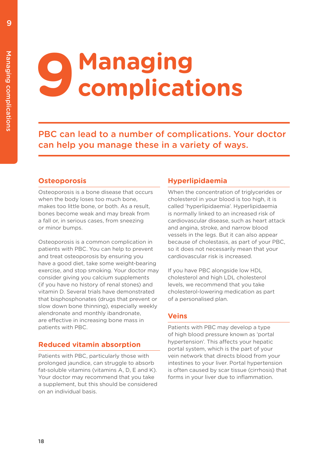# **9 Managing<br>
2 Complicati complications**

PBC can lead to a number of complications. Your doctor can help you manage these in a variety of ways.

# **Osteoporosis**

Osteoporosis is a bone disease that occurs when the body loses too much bone, makes too little bone, or both. As a result, bones become weak and may break from a fall or, in serious cases, from sneezing or minor bumps.

Osteoporosis is a common complication in patients with PBC. You can help to prevent and treat osteoporosis by ensuring you have a good diet, take some weight-bearing exercise, and stop smoking. Your doctor may consider giving you calcium supplements (if you have no history of renal stones) and vitamin D. Several trials have demonstrated that bisphosphonates (drugs that prevent or slow down bone thinning), especially weekly alendronate and monthly ibandronate, are effective in increasing bone mass in patients with PBC.

# **Reduced vitamin absorption**

Patients with PBC, particularly those with prolonged jaundice, can struggle to absorb fat-soluble vitamins (vitamins A, D, E and K). Your doctor may recommend that you take a supplement, but this should be considered on an individual basis.

# **Hyperlipidaemia**

When the concentration of triglycerides or cholesterol in your blood is too high, it is called 'hyperlipidaemia'. Hyperlipidaemia is normally linked to an increased risk of cardiovascular disease, such as heart attack and angina, stroke, and narrow blood vessels in the legs. But it can also appear because of cholestasis, as part of your PBC, so it does not necessarily mean that your cardiovascular risk is increased.

If you have PBC alongside low HDL cholesterol and high LDL cholesterol levels, we recommend that you take cholesterol-lowering medication as part of a personalised plan.

# **Veins**

Patients with PBC may develop a type of high blood pressure known as 'portal hypertension'. This affects your hepatic portal system, which is the part of your vein network that directs blood from your intestines to your liver. Portal hypertension is often caused by scar tissue (cirrhosis) that forms in your liver due to inflammation.

9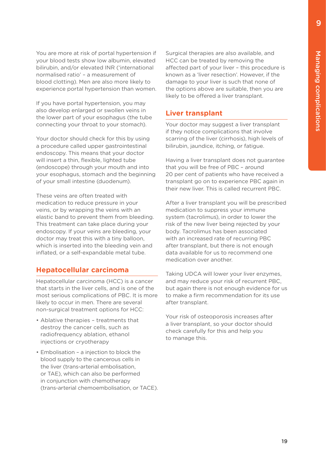You are more at risk of portal hypertension if your blood tests show low albumin, elevated bilirubin, and/or elevated INR ('international normalised ratio' – a measurement of blood clotting). Men are also more likely to experience portal hypertension than women.

If you have portal hypertension, you may also develop enlarged or swollen veins in the lower part of your esophagus (the tube connecting your throat to your stomach).

Your doctor should check for this by using a procedure called upper gastrointestinal endoscopy. This means that your doctor will insert a thin, flexible, lighted tube (endoscope) through your mouth and into your esophagus, stomach and the beginning of your small intestine (duodenum).

These veins are often treated with medication to reduce pressure in your veins, or by wrapping the veins with an elastic band to prevent them from bleeding. This treatment can take place during your endoscopy. If your veins are bleeding, your doctor may treat this with a tiny balloon, which is inserted into the bleeding vein and inflated, or a self-expandable metal tube.

# **Hepatocellular carcinoma**

Hepatocellular carcinoma (HCC) is a cancer that starts in the liver cells, and is one of the most serious complications of PBC. It is more likely to occur in men. There are several non-surgical treatment options for HCC:

- Ablative therapies treatments that destroy the cancer cells, such as radiofrequency ablation, ethanol injections or cryotherapy
- Embolisation a injection to block the blood supply to the cancerous cells in the liver (trans-arterial embolisation, or TAE), which can also be performed in conjunction with chemotherapy (trans-arterial chemoembolisation, or TACE).

Surgical therapies are also available, and HCC can be treated by removing the affected part of your liver – this procedure is known as a 'liver resection'. However, if the damage to your liver is such that none of the options above are suitable, then you are likely to be offered a liver transplant.

# **Liver transplant**

Your doctor may suggest a liver transplant if they notice complications that involve scarring of the liver (cirrhosis), high levels of bilirubin, jaundice, itching, or fatigue.

Having a liver transplant does not guarantee that you will be free of PBC – around 20 per cent of patients who have received a transplant go on to experience PBC again in their new liver. This is called recurrent PBC.

After a liver transplant you will be prescribed medication to suppress your immune system (tacrolimus), in order to lower the risk of the new liver being rejected by your body. Tacrolimus has been associated with an increased rate of recurring PBC after transplant, but there is not enough data available for us to recommend one medication over another.

Taking UDCA will lower your liver enzymes, and may reduce your risk of recurrent PBC, but again there is not enough evidence for us to make a firm recommendation for its use after transplant.

Your risk of osteoporosis increases after a liver transplant, so your doctor should check carefully for this and help you to manage this.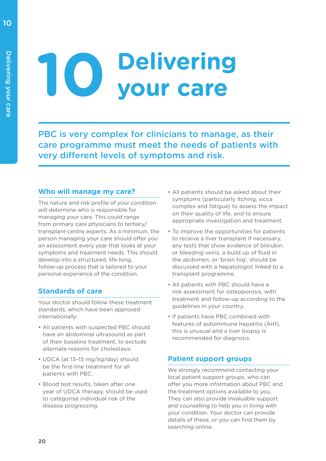# **10 Delivering your care**

PBC is very complex for clinicians to manage, as their care programme must meet the needs of patients with very different levels of symptoms and risk.

# **Who will manage my care?**

The nature and risk profile of your condition will determine who is responsible for managing your care. This could range from primary care physicians to tertiary/ transplant-centre experts. As a minimum, the person managing your care should offer you an assessment every year that looks at your symptoms and treatment needs. This should develop into a structured, life-long, follow-up process that is tailored to your personal experience of the condition.

# **Standards of care**

Your doctor should follow these treatment standards, which have been approved internationally:

- All patients with suspected PBC should have an abdominal ultrasound as part of their baseline treatment, to exclude alternate reasons for cholestasis.
- UDCA (at 13–15 mg/kg/day) should be the first-line treatment for all patients with PBC.
- Blood test results, taken after one year of UDCA therapy, should be used to categorise individual risk of the disease progressing.
- All patients should be asked about their symptoms (particularly itching, sicca complex and fatigue) to assess the impact on their quality of life, and to ensure appropriate investigation and treatment.
- To improve the opportunities for patients to receive a liver transplant if necessary, any tests that show evidence of bilirubin, or bleeding veins, a build up of fluid in the abdomen, or 'brain fog', should be discussed with a hepatologist linked to a transplant programme.
- All patients with PBC should have a risk assessment for osteoporosis, with treatment and follow-up according to the guidelines in your country.
- If patients have PBC combined with features of autoimmune hepatitis (AIH), this is unusual and a liver biopsy is recommended for diagnosis.

# **Patient support groups**

We strongly recommend contacting your local patient support groups, who can offer you more information about PBC and the treatment options available to you. They can also provide invaluable support and counselling to help you in living with your condition. Your doctor can provide details of these, or you can find them by searching online.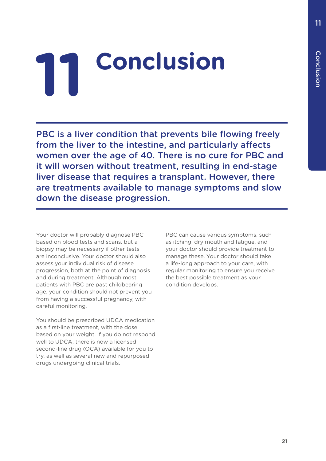# **11 Conclusion**

PBC is a liver condition that prevents bile flowing freely from the liver to the intestine, and particularly affects women over the age of 40. There is no cure for PBC and it will worsen without treatment, resulting in end-stage liver disease that requires a transplant. However, there are treatments available to manage symptoms and slow down the disease progression.

Your doctor will probably diagnose PBC based on blood tests and scans, but a biopsy may be necessary if other tests are inconclusive. Your doctor should also assess your individual risk of disease progression, both at the point of diagnosis and during treatment. Although most patients with PBC are past childbearing age, your condition should not prevent you from having a successful pregnancy, with careful monitoring.

You should be prescribed UDCA medication as a first-line treatment, with the dose based on your weight. If you do not respond well to UDCA, there is now a licensed second-line drug (OCA) available for you to try, as well as several new and repurposed drugs undergoing clinical trials.

PBC can cause various symptoms, such as itching, dry mouth and fatigue, and your doctor should provide treatment to manage these. Your doctor should take a life-long approach to your care, with regular monitoring to ensure you receive the best possible treatment as your condition develops.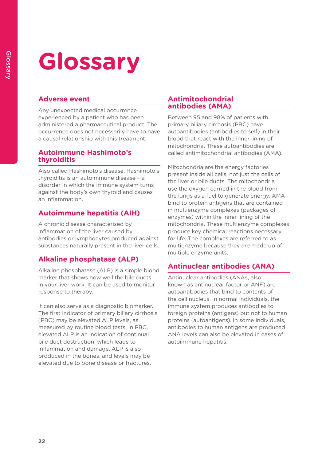# **Glossary**

# **Adverse event**

Any unexpected medical occurrence experienced by a patient who has been administered a pharmaceutical product. The occurrence does not necessarily have to have a causal relationship with this treatment.

### **Autoimmune Hashimoto's thyroiditis**

Also called Hashimoto's disease, Hashimoto's thyroiditis is an autoimmune disease – a disorder in which the immune system turns against the body's own thyroid and causes an inflammation.

# **Autoimmune hepatitis (AIH)**

A chronic disease characterised by inflammation of the liver caused by antibodies or lymphocytes produced against substances naturally present in the liver cells.

# **Alkaline phosphatase (ALP)**

Alkaline phosphatase (ALP) is a simple blood marker that shows how well the bile ducts in your liver work. It can be used to monitor response to therapy.

It can also serve as a diagnostic biomarker. The first indicator of primary biliary cirrhosis (PBC) may be elevated ALP levels, as measured by routine blood tests. In PBC, elevated ALP is an indication of continual bile duct destruction, which leads to inflammation and damage. ALP is also produced in the bones, and levels may be elevated due to bone disease or fractures.

### **Antimitochondrial antibodies (AMA)**

Between 95 and 98% of patients with primary biliary cirrhosis (PBC) have autoantibodies (antibodies to self) in their blood that react with the inner lining of mitochondria. These autoantibodies are called antimitochondrial antibodies (AMA).

Mitochondria are the energy factories present inside all cells, not just the cells of the liver or bile ducts. The mitochondria use the oxygen carried in the blood from the lungs as a fuel to generate energy. AMA bind to protein antigens that are contained in multienzyme complexes (packages of enzymes) within the inner lining of the mitochondria. These multienzyme complexes produce key chemical reactions necessary for life. The complexes are referred to as multienzyme because they are made up of multiple enzyme units.

# **Antinuclear antibodies (ANA)**

Antinuclear antibodies (ANAs, also known as antinuclear factor or ANF) are autoantibodies that bind to contents of the cell nucleus. In normal individuals, the immune system produces antibodies to foreign proteins (antigens) but not to human proteins (autoantigens). In some individuals, antibodies to human antigens are produced. ANA levels can also be elevated in cases of autoimmune hepatitis.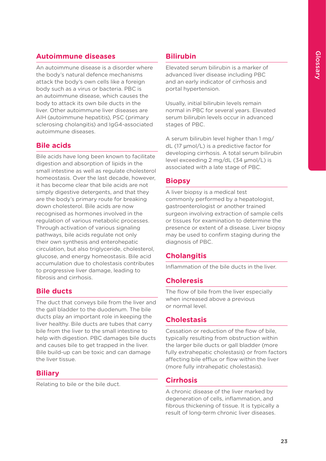# **Autoimmune diseases**

An autoimmune disease is a disorder where the body's natural defence mechanisms attack the body's own cells like a foreign body such as a virus or bacteria. PBC is an autoimmune disease, which causes the body to attack its own bile ducts in the liver. Other autoimmune liver diseases are AIH (autoimmune hepatitis), PSC (primary sclerosing cholangitis) and IgG4-associated autoimmune diseases.

# **Bile acids**

Bile acids have long been known to facilitate digestion and absorption of lipids in the small intestine as well as regulate cholesterol homeostasis. Over the last decade, however, it has become clear that bile acids are not simply digestive detergents, and that they are the body's primary route for breaking down cholesterol. Bile acids are now recognised as hormones involved in the regulation of various metabolic processes. Through activation of various signaling pathways, bile acids regulate not only their own synthesis and enterohepatic circulation, but also triglyceride, cholesterol, glucose, and energy homeostasis. Bile acid accumulation due to cholestasis contributes to progressive liver damage, leading to fibrosis and cirrhosis.

# **Bile ducts**

The duct that conveys bile from the liver and the gall bladder to the duodenum. The bile ducts play an important role in keeping the liver healthy. Bile ducts are tubes that carry bile from the liver to the small intestine to help with digestion. PBC damages bile ducts and causes bile to get trapped in the liver. Bile build-up can be toxic and can damage the liver tissue.

# **Biliary**

Relating to bile or the bile duct.

# **Bilirubin**

Elevated serum bilirubin is a marker of advanced liver disease including PBC and an early indicator of cirrhosis and portal hypertension.

Usually, initial bilirubin levels remain normal in PBC for several years. Elevated serum bilirubin levels occur in advanced stages of PBC.

A serum bilirubin level higher than 1 mg/ dL (17 μmol/L) is a predictive factor for developing cirrhosis. A total serum bilirubin level exceeding 2 mg/dL (34 μmol/L) is associated with a late stage of PBC.

# **Biopsy**

A liver biopsy is a medical test commonly performed by a hepatologist, gastroenterologist or another trained surgeon involving extraction of sample cells or tissues for examination to determine the presence or extent of a disease. Liver biopsy may be used to confirm staging during the diagnosis of PBC.

# **Cholangitis**

Inflammation of the bile ducts in the liver.

# **Choleresis**

The flow of bile from the liver especially when increased above a previous or normal level.

# **Cholestasis**

Cessation or reduction of the flow of bile, typically resulting from obstruction within the larger bile ducts or gall bladder (more fully extrahepatic cholestasis) or from factors affecting bile efflux or flow within the liver (more fully intrahepatic cholestasis).

# **Cirrhosis**

A chronic disease of the liver marked by degeneration of cells, inflammation, and fibrous thickening of tissue. It is typically a result of long-term chronic liver diseases.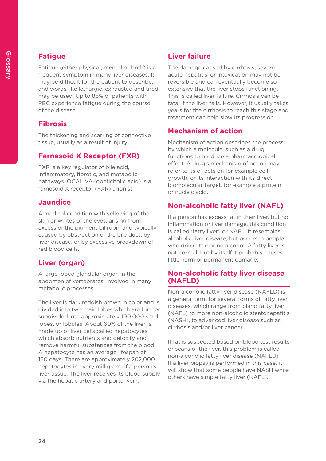# **Fatigue**

Fatigue (either physical, mental or both) is a frequent symptom in many liver diseases. It may be difficult for the patient to describe, and words like lethargic, exhausted and tired may be used. Up to 85% of patients with PBC experience fatigue during the course of the disease.

# **Fibrosis**

The thickening and scarring of connective tissue, usually as a result of injury.

# **Farnesoid X Receptor (FXR)**

FXR is a key regulator of bile acid, inflammatory, fibrotic, and metabolic pathways. OCALIVA (obeticholic acid) is a farnesoid X receptor (FXR) agonist.

# **Jaundice**

A medical condition with yellowing of the skin or whites of the eyes, arising from excess of the pigment bilirubin and typically caused by obstruction of the bile duct, by liver disease, or by excessive breakdown of red blood cells.

# **Liver (organ)**

A large lobed glandular organ in the abdomen of vertebrates, involved in many metabolic processes.

The liver is dark reddish brown in color and is divided into two main lobes which are further subdivided into approximately 100,000 small lobes, or lobules. About 60% of the liver is made up of liver cells called hepatocytes, which absorb nutrients and detoxify and remove harmful substances from the blood. A hepatocyte has an average lifespan of 150 days. There are approximately 202,000 hepatocytes in every milligram of a person's liver tissue. The liver receives its blood supply via the hepatic artery and portal vein.

# **Liver failure**

The damage caused by cirrhosis, severe acute hepatitis, or intoxication may not be reversible and can eventually become so extensive that the liver stops functioning. This is called liver failure. Cirrhosis can be fatal if the liver fails. However, it usually takes years for the cirrhosis to reach this stage and treatment can help slow its progression.

# **Mechanism of action**

Mechanism of action describes the process by which a molecule, such as a drug, functions to produce a pharmacological effect. A drug's mechanism of action may refer to its effects on for example cell growth, or its interaction with its direct biomolecular target, for example a protein or nucleic acid.

# **Non-alcoholic fatty liver (NAFL)**

If a person has excess fat in their liver, but no inflammation or liver damage, this condition is called 'fatty liver', or NAFL. It resembles alcoholic liver disease, but occurs in people who drink little or no alcohol. A fatty liver is not normal, but by itself it probably causes little harm or permanent damage.

# **Non-alcoholic fatty liver disease (NAFLD)**

Non-alcoholic fatty liver disease (NAFLD) is a general term for several forms of fatty liver diseases, which range from bland fatty liver (NAFL) to more non-alcoholic steatohepatitis (NASH), to advanced liver disease such as cirrhosis and/or liver cancer

If fat is suspected based on blood test results or scans of the liver, this problem is called non-alcoholic fatty liver disease (NAFLD). If a liver biopsy is performed in this case, it will show that some people have NASH while others have simple fatty liver (NAFL).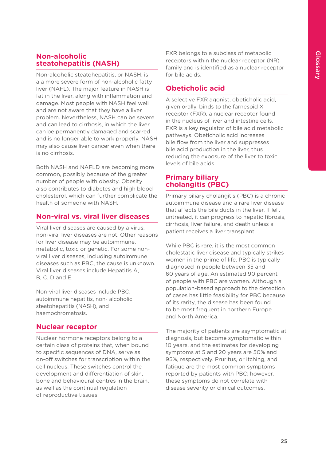# **Non-alcoholic steatohepatitis (NASH)**

Non-alcoholic steatohepatitis, or NASH, is a a more severe form of non-alcoholic fatty liver (NAFL). The major feature in NASH is fat in the liver, along with inflammation and damage. Most people with NASH feel well and are not aware that they have a liver problem. Nevertheless, NASH can be severe and can lead to cirrhosis, in which the liver can be permanently damaged and scarred and is no longer able to work properly. NASH may also cause liver cancer even when there is no cirrhosis.

Both NASH and NAFLD are becoming more common, possibly because of the greater number of people with obesity. Obesity also contributes to diabetes and high blood cholesterol, which can further complicate the health of someone with NASH.

# **Non-viral vs. viral liver diseases**

Viral liver diseases are caused by a virus; non-viral liver diseases are not. Other reasons for liver disease may be autoimmune, metabolic, toxic or genetic. For some nonviral liver diseases, including autoimmune diseases such as PBC, the cause is unknown. Viral liver diseases include Hepatitis A, B, C, D and E.

Non-viral liver diseases include PBC, autoimmune hepatitis, non- alcoholic steatohepatitis (NASH), and haemochromatosis.

# **Nuclear receptor**

Nuclear hormone receptors belong to a certain class of proteins that, when bound to specific sequences of DNA, serve as on-off switches for transcription within the cell nucleus. These switches control the development and differentiation of skin, bone and behavioural centres in the brain, as well as the continual regulation of reproductive tissues.

FXR belongs to a subclass of metabolic receptors within the nuclear receptor (NR) family and is identified as a nuclear receptor for bile acids.

# **Obeticholic acid**

A selective FXR agonist, obeticholic acid, given orally, binds to the farnesoid X receptor (FXR), a nuclear receptor found in the nucleus of liver and intestine cells. FXR is a key regulator of bile acid metabolic pathways. Obeticholic acid increases bile flow from the liver and suppresses bile acid production in the liver, thus reducing the exposure of the liver to toxic levels of bile acids.

# **Primary biliary cholangitis (PBC)**

Primary biliary cholangitis (PBC) is a chronic autoimmune disease and a rare liver disease that affects the bile ducts in the liver. If left untreated, it can progress to hepatic fibrosis, cirrhosis, liver failure, and death unless a patient receives a liver transplant.

While PBC is rare, it is the most common cholestatic liver disease and typically strikes women in the prime of life. PBC is typically diagnosed in people between 35 and 60 years of age. An estimated 90 percent of people with PBC are women. Although a population-based approach to the detection of cases has little feasibility for PBC because of its rarity, the disease has been found to be most frequent in northern Europe and North America.

The majority of patients are asymptomatic at diagnosis, but become symptomatic within 10 years, and the estimates for developing symptoms at 5 and 20 years are 50% and 95%, respectively. Pruritus, or itching, and fatigue are the most common symptoms reported by patients with PBC; however, these symptoms do not correlate with disease severity or clinical outcomes.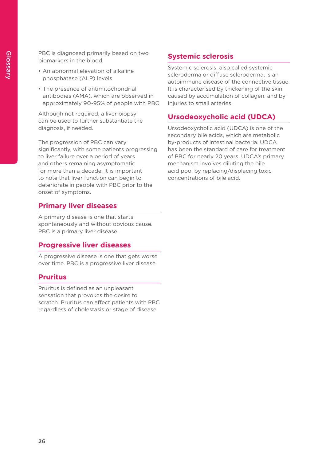PBC is diagnosed primarily based on two biomarkers in the blood:

- An abnormal elevation of alkaline phosphatase (ALP) levels
- The presence of antimitochondrial antibodies (AMA), which are observed in approximately 90-95% of people with PBC

Although not required, a liver biopsy can be used to further substantiate the diagnosis, if needed.

The progression of PBC can vary significantly, with some patients progressing to liver failure over a period of years and others remaining asymptomatic for more than a decade. It is important to note that liver function can begin to deteriorate in people with PBC prior to the onset of symptoms.

# **Primary liver diseases**

A primary disease is one that starts spontaneously and without obvious cause. PBC is a primary liver disease.

### **Progressive liver diseases**

A progressive disease is one that gets worse over time. PBC is a progressive liver disease.

### **Pruritus**

Pruritus is defined as an unpleasant sensation that provokes the desire to scratch. Pruritus can affect patients with PBC regardless of cholestasis or stage of disease.

# **Systemic sclerosis**

Systemic sclerosis, also called systemic scleroderma or diffuse scleroderma, is an autoimmune disease of the connective tissue. It is characterised by thickening of the skin caused by accumulation of collagen, and by injuries to small arteries.

# **Ursodeoxycholic acid (UDCA)**

Ursodeoxycholic acid (UDCA) is one of the secondary bile acids, which are metabolic by-products of intestinal bacteria. UDCA has been the standard of care for treatment of PBC for nearly 20 years. UDCA's primary mechanism involves diluting the bile acid pool by replacing/displacing toxic concentrations of bile acid.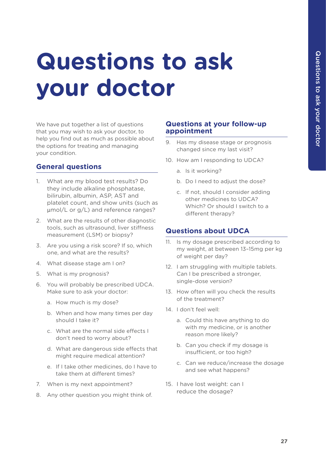# **Questions to ask your doctor**

We have put together a list of questions that you may wish to ask your doctor, to help you find out as much as possible about the options for treating and managing your condition.

# **General questions**

- 1. What are my blood test results? Do they include alkaline phosphatase, bilirubin, albumin, ASP, AST and platelet count, and show units (such as μmol/L or g/L) and reference ranges?
- 2. What are the results of other diagnostic tools, such as ultrasound, liver stiffness measurement (LSM) or biopsy?
- 3. Are you using a risk score? If so, which one, and what are the results?
- 4. What disease stage am I on?
- 5. What is my prognosis?
- 6. You will probably be prescribed UDCA. Make sure to ask your doctor:
	- a. How much is my dose?
	- b. When and how many times per day should I take it?
	- c. What are the normal side effects I don't need to worry about?
	- d. What are dangerous side effects that might require medical attention?
	- e. If I take other medicines, do I have to take them at different times?
- 7. When is my next appointment?
- 8. Any other question you might think of.

#### **Questions at your follow-up appointment**

- 9. Has my disease stage or prognosis changed since my last visit?
- 10. How am I responding to UDCA?
	- a. Is it working?
	- b. Do I need to adjust the dose?
	- c. If not, should I consider adding other medicines to UDCA? Which? Or should I switch to a different therapy?

#### **Questions about UDCA**

- 11. Is my dosage prescribed according to my weight, at between 13–15mg per kg of weight per day?
- 12. I am struggling with multiple tablets. Can I be prescribed a stronger, single-dose version?
- 13. How often will you check the results of the treatment?
- 14. I don't feel well:
	- a. Could this have anything to do with my medicine, or is another reason more likely?
	- b. Can you check if my dosage is insufficient, or too high?
	- c. Can we reduce/increase the dosage and see what happens?
- 15. I have lost weight: can I reduce the dosage?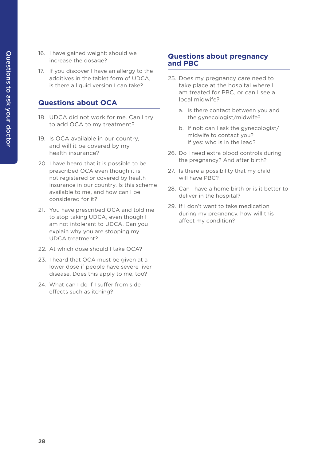- 16. I have gained weight: should we increase the dosage?
- 17. If you discover I have an allergy to the additives in the tablet form of UDCA, is there a liquid version I can take?

# **Questions about OCA**

- 18. UDCA did not work for me. Can I try to add OCA to my treatment?
- 19. Is OCA available in our country, and will it be covered by my health insurance?
- 20. I have heard that it is possible to be prescribed OCA even though it is not registered or covered by health insurance in our country. Is this scheme available to me, and how can I be considered for it?
- 21. You have prescribed OCA and told me to stop taking UDCA, even though I am not intolerant to UDCA. Can you explain why you are stopping my UDCA treatment?
- 22. At which dose should I take OCA?
- 23. I heard that OCA must be given at a lower dose if people have severe liver disease. Does this apply to me, too?
- 24. What can I do if I suffer from side effects such as itching?

# **Questions about pregnancy and PBC**

- 25. Does my pregnancy care need to take place at the hospital where I am treated for PBC, or can I see a local midwife?
	- a. Is there contact between you and the gynecologist/midwife?
	- b. If not: can I ask the gynecologist/ midwife to contact you? If yes: who is in the lead?
- 26. Do I need extra blood controls during the pregnancy? And after birth?
- 27. Is there a possibility that my child will have PBC?
- 28. Can I have a home birth or is it better to deliver in the hospital?
- 29. If I don't want to take medication during my pregnancy, how will this affect my condition?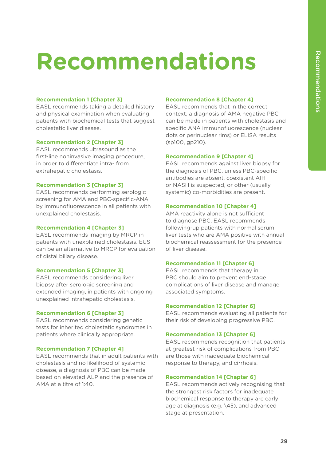# **Recommendations**

#### **Recommendation 1 [Chapter 3]**

EASL recommends taking a detailed history and physical examination when evaluating patients with biochemical tests that suggest cholestatic liver disease.

#### **Recommendation 2 [Chapter 3]**

EASL recommends ultrasound as the first-line noninvasive imaging procedure, in order to differentiate intra- from extrahepatic cholestasis.

#### **Recommendation 3 [Chapter 3]**

EASL recommends performing serologic screening for AMA and PBC-specific-ANA by immunofluorescence in all patients with unexplained cholestasis.

#### **Recommendation 4 [Chapter 3]**

EASL recommends imaging by MRCP in patients with unexplained cholestasis. EUS can be an alternative to MRCP for evaluation of distal biliary disease.

#### **Recommendation 5 [Chapter 3]**

EASL recommends considering liver biopsy after serologic screening and extended imaging, in patients with ongoing unexplained intrahepatic cholestasis.

#### **Recommendation 6 [Chapter 3]**

EASL recommends considering genetic tests for inherited cholestatic syndromes in patients where clinically appropriate.

#### **Recommendation 7 [Chapter 4]**

EASL recommends that in adult patients with cholestasis and no likelihood of systemic disease, a diagnosis of PBC can be made based on elevated ALP and the presence of AMA at a titre of 1:40.

#### **Recommendation 8 [Chapter 4]**

EASL recommends that in the correct context, a diagnosis of AMA negative PBC can be made in patients with cholestasis and specific ANA immunofluorescence (nuclear dots or perinuclear rims) or ELISA results (sp100, gp210).

#### **Recommendation 9 [Chapter 4]**

EASL recommends against liver biopsy for the diagnosis of PBC, unless PBC-specific antibodies are absent, coexistent AIH or NASH is suspected, or other (usually systemic) co-morbidities are present.

#### **Recommendation 10 [Chapter 4]**

AMA reactivity alone is not sufficient to diagnose PBC. EASL recommends following-up patients with normal serum liver tests who are AMA positive with annual biochemical reassessment for the presence of liver disease.

#### **Recommendation 11 [Chapter 6]**

EASL recommends that therapy in PBC should aim to prevent end-stage complications of liver disease and manage associated symptoms.

#### **Recommendation 12 [Chapter 6]**

EASL recommends evaluating all patients for their risk of developing progressive PBC.

#### **Recommendation 13 [Chapter 6]**

EASL recommends recognition that patients at greatest risk of complications from PBC are those with inadequate biochemical response to therapy, and cirrhosis.

#### **Recommendation 14 [Chapter 6]**

EASL recommends actively recognising that the strongest risk factors for inadequate biochemical response to therapy are early age at diagnosis (e.g. \45), and advanced stage at presentation.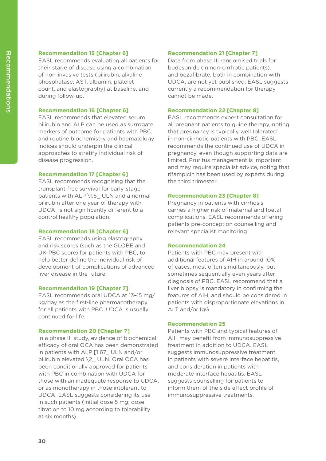#### **Recommendation 15 [Chapter 6]**

EASL recommends evaluating all patients for their stage of disease using a combination of non-invasive tests (bilirubin, alkaline phosphatase, AST, albumin, platelet count, and elastography) at baseline, and during follow-up.

#### **Recommendation 16 [Chapter 6]**

EASL recommends that elevated serum bilirubin and ALP can be used as surrogate markers of outcome for patients with PBC, and routine biochemistry and haematology indices should underpin the clinical approaches to stratify individual risk of disease progression.

#### **Recommendation 17 [Chapter 6]**

EASL recommends recognising that the transplant-free survival for early-stage patients with ALP \1.5 ULN and a normal bilirubin after one year of therapy with UDCA, is not significantly different to a control healthy population.

#### **Recommendation 18 [Chapter 6]**

EASL recommends using elastography and risk scores (such as the GLOBE and UK-PBC score) for patients with PBC, to help better define the individual risk of development of complications of advanced liver disease in the future.

#### **Recommendation 19 [Chapter 7]**

EASL recommends oral UDCA at 13–15 mg/ kg/day as the first-line pharmacotherapy for all patients with PBC. UDCA is usually continued for life.

#### **Recommendation 20 [Chapter 7]**

In a phase III study, evidence of biochemical efficacy of oral OCA has been demonstrated in patients with ALP [1.67\_ ULN and/or bilirubin elevated \2 ULN. Oral OCA has been conditionally approved for patients with PBC in combination with UDCA for those with an inadequate response to UDCA, or as monotherapy in those intolerant to UDCA. EASL suggests considering its use in such patients (initial dose 5 mg; dose titration to 10 mg according to tolerability at six months).

#### **Recommendation 21 [Chapter 7]**

Data from phase III randomised trials for budesonide (in non-cirrhotic patients), and bezafibrate, both in combination with UDCA, are not yet published; EASL suggests currently a recommendation for therapy cannot be made.

#### **Recommendation 22 [Chapter 8]**

EASL recommends expert consultation for all pregnant patients to guide therapy, noting that pregnancy is typically well tolerated in non-cirrhotic patients with PBC. EASL recommends the continued use of UDCA in pregnancy, even though supporting data are limited. Pruritus management is important and may require specialist advice, noting that rifampicin has been used by experts during the third trimester.

#### **Recommendation 23 [Chapter 8]**

Pregnancy in patients with cirrhosis carries a higher risk of maternal and foetal complications. EASL recommends offering patients pre-conception counselling and relevant specialist monitoring.

#### **Recommendation 24**

Patients with PBC may present with additional features of AIH in around 10% of cases, most often simultaneously, but sometimes sequentially even years after diagnosis of PBC. EASL recommend that a liver biopsy is mandatory in confirming the features of AIH, and should be considered in patients with disproportionate elevations in ALT and/or IgG.

#### **Recommendation 25**

Patients with PBC and typical features of AIH may benefit from immunosuppressive treatment in addition to UDCA. EASL suggests immunosuppressive treatment in patients with severe interface hepatitis, and consideration in patients with moderate interface hepatitis. EASL suggests counselling for patients to inform them of the side effect profile of immunosuppressive treatments.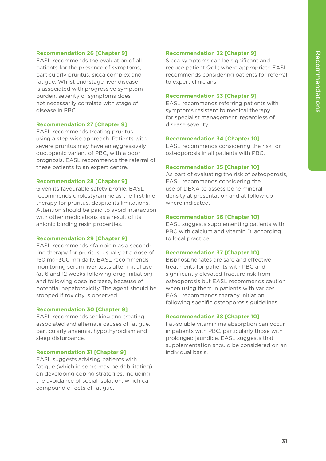#### **Recommendation 26 [Chapter 9]**

EASL recommends the evaluation of all patients for the presence of symptoms, particularly pruritus, sicca complex and fatigue. Whilst end-stage liver disease is associated with progressive symptom burden, severity of symptoms does not necessarily correlate with stage of disease in PBC.

#### **Recommendation 27 [Chapter 9]**

EASL recommends treating pruritus using a step wise approach. Patients with severe pruritus may have an aggressively ductopenic variant of PBC, with a poor prognosis. EASL recommends the referral of these patients to an expert centre.

#### **Recommendation 28 [Chapter 9]**

Given its favourable safety profile, EASL recommends cholestyramine as the first-line therapy for pruritus, despite its limitations. Attention should be paid to avoid interaction with other medications as a result of its anionic binding resin properties.

#### **Recommendation 29 [Chapter 9]**

EASL recommends rifampicin as a secondline therapy for pruritus, usually at a dose of 150 mg–300 mg daily. EASL recommends monitoring serum liver tests after initial use (at 6 and 12 weeks following drug initiation) and following dose increase, because of potential hepatotoxicity The agent should be stopped if toxicity is observed.

#### **Recommendation 30 [Chapter 9]**

EASL recommends seeking and treating associated and alternate causes of fatigue, particularly anaemia, hypothyroidism and sleep disturbance.

#### **Recommendation 31 [Chapter 9]**

EASL suggests advising patients with fatigue (which in some may be debilitating) on developing coping strategies, including the avoidance of social isolation, which can compound effects of fatigue.

#### **Recommendation 32 [Chapter 9]**

Sicca symptoms can be significant and reduce patient QoL; where appropriate EASL recommends considering patients for referral to expert clinicians.

#### **Recommendation 33 [Chapter 9]**

EASL recommends referring patients with symptoms resistant to medical therapy for specialist management, regardless of disease severity.

#### **Recommendation 34 [Chapter 10]**

EASL recommends considering the risk for osteoporosis in all patients with PBC.

#### **Recommendation 35 [Chapter 10]**

As part of evaluating the risk of osteoporosis, EASL recommends considering the use of DEXA to assess bone mineral density at presentation and at follow-up where indicated.

#### **Recommendation 36 [Chapter 10]**

EASL suggests supplementing patients with PBC with calcium and vitamin D, according to local practice.

#### **Recommendation 37 [Chapter 10]**

Bisphosphonates are safe and effective treatments for patients with PBC and significantly elevated fracture risk from osteoporosis but EASL recommends caution when using them in patients with varices. EASL recommends therapy initiation following specific osteoporosis guidelines.

#### **Recommendation 38 [Chapter 10]**

Fat-soluble vitamin malabsorption can occur in patients with PBC, particularly those with prolonged jaundice. EASL suggests that supplementation should be considered on an individual basis.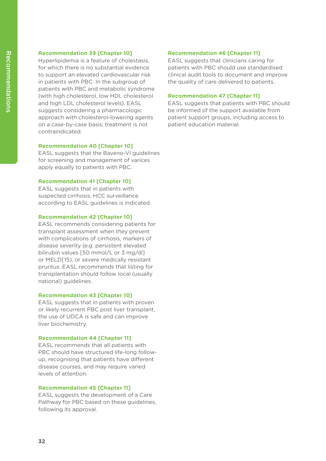#### **Recommendation 39 [Chapter 10]**

Hyperlipidemia is a feature of cholestasis, for which there is no substantial evidence to support an elevated cardiovascular risk in patients with PBC. In the subgroup of patients with PBC and metabolic syndrome (with high cholesterol, low HDL cholesterol and high LDL cholesterol levels), EASL suggests considering a pharmacologic approach with cholesterol-lowering agents on a case-by-case basis; treatment is not contraindicated.

#### **Recommendation 40 [Chapter 10]**

EASL suggests that the Baveno-VI guidelines for screening and management of varices apply equally to patients with PBC.

#### **Recommendation 41 [Chapter 10]**

EASL suggests that in patients with suspected cirrhosis, HCC surveillance according to EASL guidelines is indicated.

#### **Recommendation 42 [Chapter 10]**

EASL recommends considering patients for transplant assessment when they present with complications of cirrhosis, markers of disease severity (e.g. persistent elevated bilirubin values [50 mmol/L or 3 mg/dl] or MELD[15), or severe medically resistant pruritus. EASL recommends that listing for transplantation should follow local (usually national) guidelines.

#### **Recommendation 43 [Chapter 10]**

EASL suggests that in patients with proven or likely recurrent PBC post liver transplant, the use of UDCA is safe and can improve liver biochemistry.

#### **Recommendation 44 [Chapter 11]**

EASL recommends that all patients with PBC should have structured life-long followup, recognising that patients have different disease courses, and may require varied levels of attention.

#### **Recommendation 45 [Chapter 11]**

EASL suggests the development of a Care Pathway for PBC based on these guidelines, following its approval.

#### **Recommendation 46 [Chapter 11]**

EASL suggests that clinicians caring for patients with PBC should use standardised clinical audit tools to document and improve the quality of care delivered to patients.

#### **Recommendation 47 [Chapter 11]**

EASL suggests that patients with PBC should be informed of the support available from patient support groups, including access to patient education material.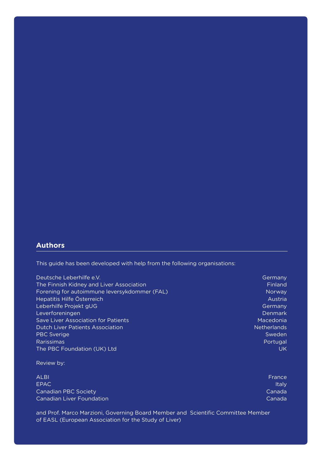### **Authors**

This guide has been developed with help from the following organisations:

| Deutsche Leberhilfe e.V.                     | Germany            |
|----------------------------------------------|--------------------|
| The Finnish Kidney and Liver Association     | Finland            |
| Forening for autoimmune leversykdommer (FAL) | Norway             |
| Hepatitis Hilfe Österreich                   | Austria            |
| Leberhilfe Projekt gUG                       | Germany            |
| Leverforeningen                              | Denmark            |
| Save Liver Association for Patients          | Macedonia          |
| <b>Dutch Liver Patients Association</b>      | <b>Netherlands</b> |
| <b>PBC Sverige</b>                           | Sweden             |
| <b>Rarissimas</b>                            | Portugal           |
| The PBC Foundation (UK) Ltd                  | UK                 |

#### Review by:

| <b>ALBI</b>                      | France |
|----------------------------------|--------|
| EPAC.                            | Italy  |
| Canadian PBC Society             | Canada |
| <b>Canadian Liver Foundation</b> | Canada |
|                                  |        |

and Prof. Marco Marzioni, Governing Board Member and Scientific Committee Member of EASL (European Association for the Study of Liver)